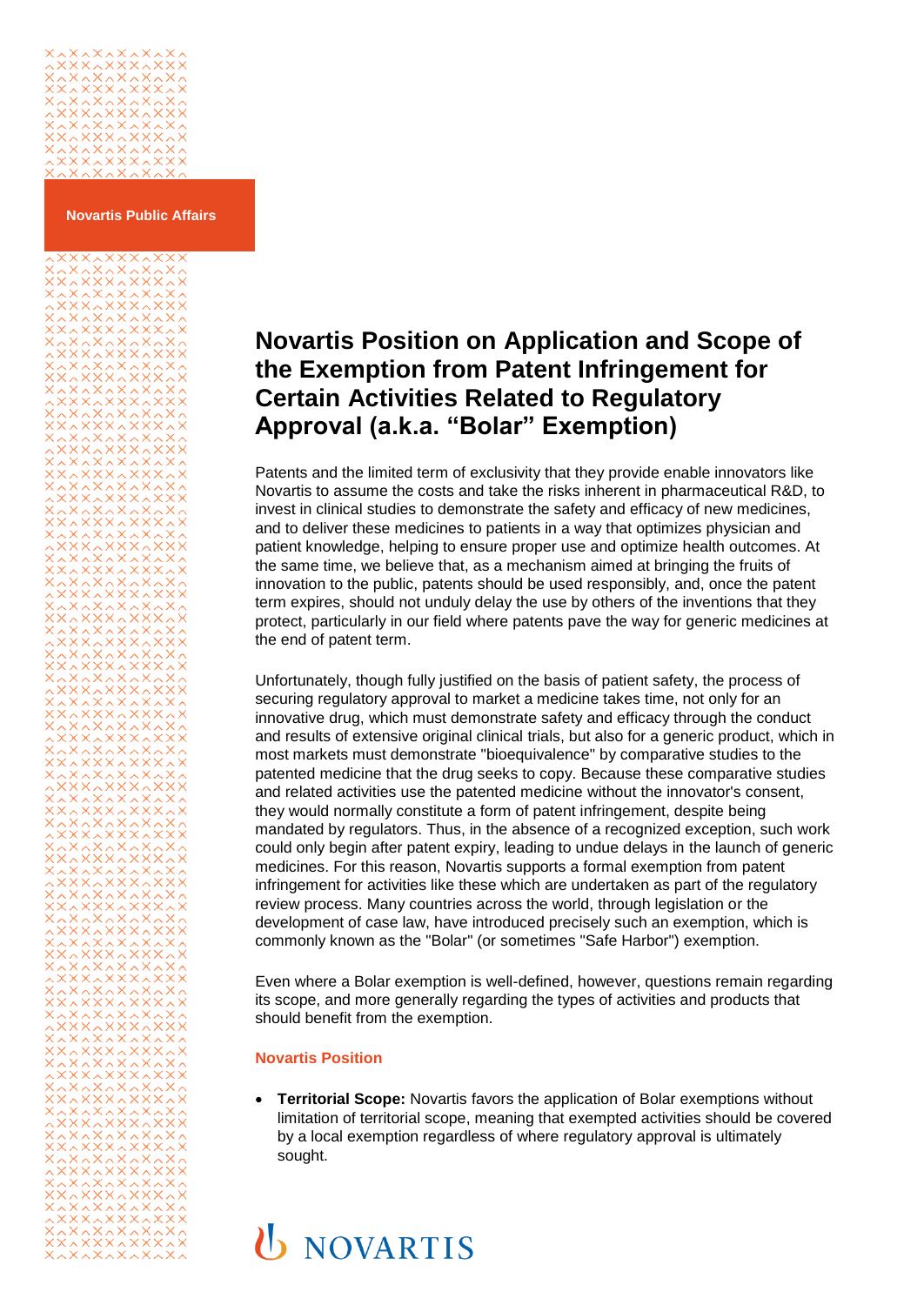## ~~~~~~~~<br>~~~~~~~~~<br>~~~~~~~~

**Novartis Public Affairs**

## **Novartis Position on Application and Scope of the Exemption from Patent Infringement for Certain Activities Related to Regulatory Approval (a.k.a. "Bolar" Exemption)**

Patents and the limited term of exclusivity that they provide enable innovators like Novartis to assume the costs and take the risks inherent in pharmaceutical R&D, to invest in clinical studies to demonstrate the safety and efficacy of new medicines, and to deliver these medicines to patients in a way that optimizes physician and patient knowledge, helping to ensure proper use and optimize health outcomes. At the same time, we believe that, as a mechanism aimed at bringing the fruits of innovation to the public, patents should be used responsibly, and, once the patent term expires, should not unduly delay the use by others of the inventions that they protect, particularly in our field where patents pave the way for generic medicines at the end of patent term.

Unfortunately, though fully justified on the basis of patient safety, the process of securing regulatory approval to market a medicine takes time, not only for an innovative drug, which must demonstrate safety and efficacy through the conduct and results of extensive original clinical trials, but also for a generic product, which in most markets must demonstrate "bioequivalence" by comparative studies to the patented medicine that the drug seeks to copy. Because these comparative studies and related activities use the patented medicine without the innovator's consent, they would normally constitute a form of patent infringement, despite being mandated by regulators. Thus, in the absence of a recognized exception, such work could only begin after patent expiry, leading to undue delays in the launch of generic medicines. For this reason, Novartis supports a formal exemption from patent infringement for activities like these which are undertaken as part of the regulatory review process. Many countries across the world, through legislation or the development of case law, have introduced precisely such an exemption, which is commonly known as the "Bolar" (or sometimes "Safe Harbor") exemption.

Even where a Bolar exemption is well-defined, however, questions remain regarding its scope, and more generally regarding the types of activities and products that should benefit from the exemption.

## **Novartis Position**

 **Territorial Scope:** Novartis favors the application of Bolar exemptions without limitation of territorial scope, meaning that exempted activities should be covered by a local exemption regardless of where regulatory approval is ultimately sought.